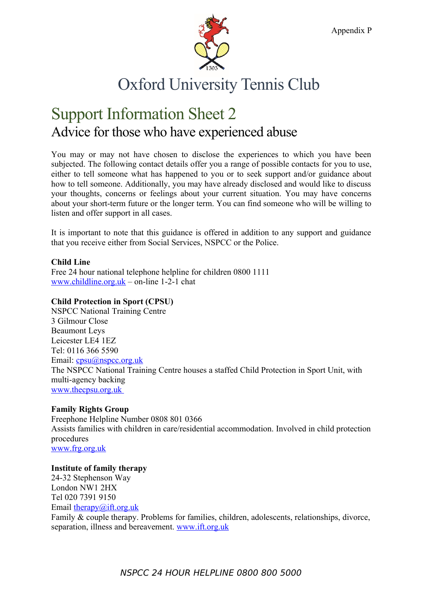

# Oxford University Tennis Club

# Support Information Sheet 2 Advice for those who have experienced abuse

You may or may not have chosen to disclose the experiences to which you have been subjected. The following contact details offer you a range of possible contacts for you to use, either to tell someone what has happened to you or to seek support and/or guidance about how to tell someone. Additionally, you may have already disclosed and would like to discuss your thoughts, concerns or feelings about your current situation. You may have concerns about your short-term future or the longer term. You can find someone who will be willing to listen and offer support in all cases.

It is important to note that this guidance is offered in addition to any support and guidance that you receive either from Social Services, NSPCC or the Police.

# **Child Line**

Free 24 hour national telephone helpline for children 0800 1111 [www.childline.org.uk](http://www.childline.org.uk/) – on-line 1-2-1 chat

# **Child Protection in Sport (CPSU)**

NSPCC National Training Centre 3 Gilmour Close Beaumont Leys Leicester LE4 1EZ Tel: 0116 366 5590 Email: cpsu@nspcc.org.uk The NSPCC National Training Centre houses a staffed Child Protection in Sport Unit, with multi-agency backing  [www.thecpsu.org.uk](http://www.thecpsu.org.uk/)

# **Family Rights Group**

Freephone Helpline Number 0808 801 0366 Assists families with children in care/residential accommodation. Involved in child protection procedures [www.frg.org.uk](http://www.frg.org.uk/)

### **Institute of family therapy**

24-32 Stephenson Way London NW1 2HX Tel 020 7391 9150 Email [therapy@ift.org.uk](mailto:therapy@ift.org.uk) Family & couple therapy. Problems for families, children, adolescents, relationships, divorce, separation, illness and bereavement. [www.ift.org.uk](http://www.ift.org.uk/)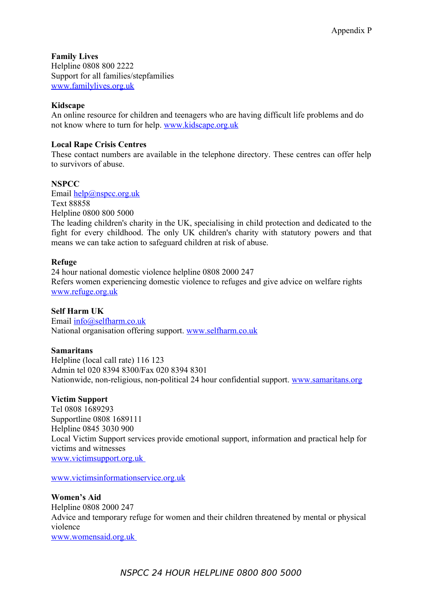**Family Lives** Helpline 0808 800 2222 Support for all families/stepfamilies [www.familylives.org.uk](http://www.familylives.org.uk/)

## **Kidscape**

An online resource for children and teenagers who are having difficult life problems and do not know where to turn for help. [www.kidscape.org.uk](http://www.kidscape.org.uk/)

### **Local Rape Crisis Centres**

These contact numbers are available in the telephone directory. These centres can offer help to survivors of abuse.

## **NSPCC**

Email [help@nspcc.org.uk](mailto:help@nspcc.org.uk) Text 88858 Helpline 0800 800 5000 The leading children's charity in the UK, specialising in child protection and dedicated to the fight for every childhood. The only UK children's charity with statutory powers and that means we can take action to safeguard children at risk of abuse.

## **Refuge**

24 hour national domestic violence helpline 0808 2000 247 Refers women experiencing domestic violence to refuges and give advice on welfare rights [www.refuge.org.uk](http://www.refuge.org.uk/)

### **Self Harm UK**

Email [info@selfharm.co.uk](mailto:info@selfharm.co.uk)  National organisation offering support. [www.selfharm.co.uk](http://www.selfharm.co.uk/)

### **Samaritans**

Helpline (local call rate) 116 123 Admin tel 020 8394 8300/Fax 020 8394 8301 Nationwide, non-religious, non-political 24 hour confidential support. [www.samaritans.org](http://www.samaritans.org/)

### **Victim Support**

Tel 0808 1689293 Supportline 0808 1689111 Helpline 0845 3030 900 Local Victim Support services provide emotional support, information and practical help for victims and witnesses  [www.victimsupport.org.uk](http://www.victimsupport.org.uk/)

[www.victimsinformationservice.org.uk](http://www.victimsinformationservice.org.uk/)

# **Women's Aid**

Helpline 0808 2000 247 Advice and temporary refuge for women and their children threatened by mental or physical violence  [www.womensaid.org.uk](http://www.womensaid.org.uk/)